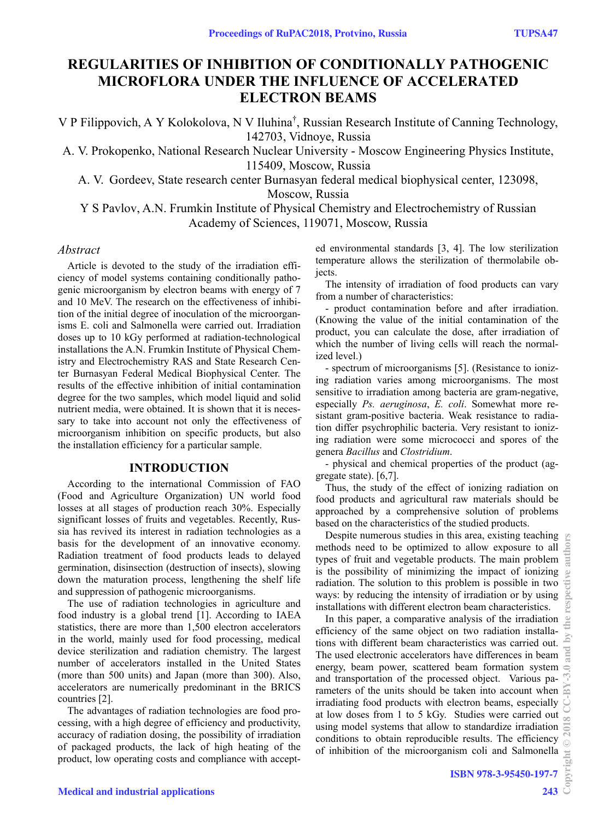# **REGULARITIES OF INHIBITION OF CONDITIONALLY PATHOGENIC MICROFLORA UNDER THE INFLUENCE OF ACCELERATED ELECTRON BEAMS**

V P Filippovich, A Y Kolokolova, N V Iluhina† , Russian Research Institute of Canning Technology, 142703, Vidnoye, Russia

A. V. Prokopenko, National Research Nuclear University - Moscow Engineering Physics Institute, 115409, Moscow, Russia

A. V. Gordeev, State research center Burnasyan federal medical biophysical center, 123098,

Moscow, Russia

Y S Pavlov, A.N. Frumkin Institute of Physical Chemistry and Electrochemistry of Russian Academy of Sciences, 119071, Moscow, Russia

#### *Abstract*

Article is devoted to the study of the irradiation efficiency of model systems containing conditionally pathogenic microorganism by electron beams with energy of 7 and 10 MeV. The research on the effectiveness of inhibition of the initial degree of inoculation of the microorganisms E. coli and Salmonella were carried out. Irradiation doses up to 10 kGy performed at radiation-technological installations the A.N. Frumkin Institute of Physical Chemistry and Electrochemistry RAS and State Research Center Burnasyan Federal Medical Biophysical Center. The results of the effective inhibition of initial contamination degree for the two samples, which model liquid and solid nutrient media, were obtained. It is shown that it is necessary to take into account not only the effectiveness of microorganism inhibition on specific products, but also the installation efficiency for a particular sample.

### **INTRODUCTION**

According to the international Commission of FAO (Food and Agriculture Organization) UN world food losses at all stages of production reach 30%. Especially significant losses of fruits and vegetables. Recently, Russia has revived its interest in radiation technologies as a basis for the development of an innovative economy. Radiation treatment of food products leads to delayed germination, disinsection (destruction of insects), slowing down the maturation process, lengthening the shelf life and suppression of pathogenic microorganisms.

The use of radiation technologies in agriculture and food industry is a global trend [1]. According to IAEA statistics, there are more than 1,500 electron accelerators in the world, mainly used for food processing, medical device sterilization and radiation chemistry. The largest number of accelerators installed in the United States (more than 500 units) and Japan (more than 300). Also, accelerators are numerically predominant in the BRICS countries [2].

The advantages of radiation technologies are food processing, with a high degree of efficiency and productivity, accuracy of radiation dosing, the possibility of irradiation of packaged products, the lack of high heating of the product, low operating costs and compliance with accepted environmental standards [3, 4]. The low sterilization temperature allows the sterilization of thermolabile objects.

The intensity of irradiation of food products can vary from a number of characteristics:

- product contamination before and after irradiation. (Knowing the value of the initial contamination of the product, you can calculate the dose, after irradiation of which the number of living cells will reach the normalized level.)

- spectrum of microorganisms [5]. (Resistance to ionizing radiation varies among microorganisms. The most sensitive to irradiation among bacteria are gram-negative, especially *Ps. aeruginosa*, *E. coli*. Somewhat more resistant gram-positive bacteria. Weak resistance to radiation differ psychrophilic bacteria. Very resistant to ionizing radiation were some micrococci and spores of the genera *Bacillus* and *Clostridium*.

- physical and chemical properties of the product (aggregate state). [6,7].

Thus, the study of the effect of ionizing radiation on food products and agricultural raw materials should be approached by a comprehensive solution of problems based on the characteristics of the studied products.

Despite numerous studies in this area, existing teaching methods need to be optimized to allow exposure to all types of fruit and vegetable products. The main problem is the possibility of minimizing the impact of ionizing radiation. The solution to this problem is possible in two ways: by reducing the intensity of irradiation or by using installations with different electron beam characteristics.

In this paper, a comparative analysis of the irradiation efficiency of the same object on two radiation installations with different beam characteristics was carried out. The used electronic accelerators have differences in beam energy, beam power, scattered beam formation system and transportation of the processed object. Various parameters of the units should be taken into account when irradiating food products with electron beams, especially at low doses from 1 to 5 kGy. Studies were carried out using model systems that allow to standardize irradiation conditions to obtain reproducible results. The efficiency of inhibition of the microorganism coli and Salmonella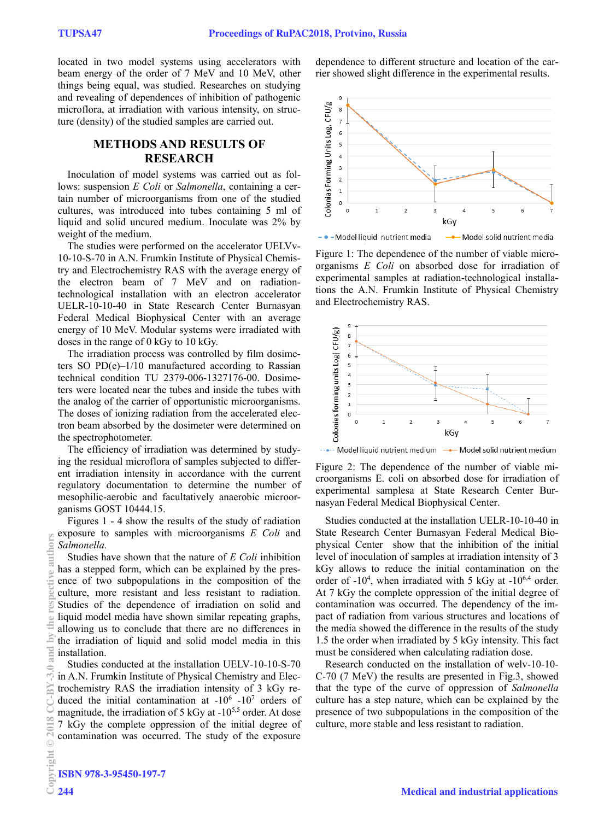located in two model systems using accelerators with beam energy of the order of 7 MeV and 10 MeV, other things being equal, was studied. Researches on studying and revealing of dependences of inhibition of pathogenic microflora, at irradiation with various intensity, on structure (density) of the studied samples are carried out.

## **METHODS AND RESULTS OF RESEARCH**

Inoculation of model systems was carried out as follows: suspension *E Coli* or *Salmonella*, containing a certain number of microorganisms from one of the studied cultures, was introduced into tubes containing 5 ml of liquid and solid uncured medium. Inoculate was 2% by weight of the medium.

The studies were performed on the accelerator UELVv-10-10-S-70 in A.N. Frumkin Institute of Physical Chemistry and Electrochemistry RAS with the average energy of the electron beam of 7 MeV and on radiationtechnological installation with an electron accelerator UELR-10-10-40 in State Research Center Burnasyan Federal Medical Biophysical Center with an average energy of 10 MeV. Modular systems were irradiated with doses in the range of 0 kGy to 10 kGy.

The irradiation process was controlled by film dosimeters SO  $PD(e)-1/10$  manufactured according to Rassian technical condition TU 2379-006-1327176-00. Dosimeters were located near the tubes and inside the tubes with the analog of the carrier of opportunistic microorganisms. The doses of ionizing radiation from the accelerated electron beam absorbed by the dosimeter were determined on the spectrophotometer.

The efficiency of irradiation was determined by studying the residual microflora of samples subjected to different irradiation intensity in accordance with the current regulatory documentation to determine the number of mesophilic-aerobic and facultatively anaerobic microorganisms GOST 10444.15.

Figures 1 - 4 show the results of the study of radiation exposure to samples with microorganisms *E Coli* and *Salmonella.*

Studies have shown that the nature of *E Coli* inhibition has a stepped form, which can be explained by the presence of two subpopulations in the composition of the culture, more resistant and less resistant to radiation. Studies of the dependence of irradiation on solid and liquid model media have shown similar repeating graphs, allowing us to conclude that there are no differences in the irradiation of liquid and solid model media in this installation.

Studies conducted at the installation UELV-10-10-S-70 in A.N. Frumkin Institute of Physical Chemistry and Electrochemistry RAS the irradiation intensity of 3 kGy reduced the initial contamination at  $-10^6$  -10<sup>7</sup> orders of magnitude, the irradiation of 5 kGy at -10<sup>5,5</sup> order. At dose 7 kGy the complete oppression of the initial degree of contamination was occurred. The study of the exposure dependence to different structure and location of the carrier showed slight difference in the experimental results.



Figure 1: The dependence of the number of viable microorganisms *E Coli* on absorbed dose for irradiation of experimental samples at radiation-technological installations the A.N. Frumkin Institute of Physical Chemistry and Electrochemistry RAS.



... Model liquid nutrient medium -- Model solid nutrient medium

Figure 2: The dependence of the number of viable microorganisms E. coli on absorbed dose for irradiation of experimental samplesa at State Research Center Burnasyan Federal Medical Biophysical Center.

Studies conducted at the installation UELR-10-10-40 in State Research Center Burnasyan Federal Medical Biophysical Center show that the inhibition of the initial level of inoculation of samples at irradiation intensity of 3 kGy allows to reduce the initial contamination on the order of  $-10^4$ , when irradiated with 5 kGy at  $-10^{6,4}$  order. At 7 kGy the complete oppression of the initial degree of contamination was occurred. The dependency of the impact of radiation from various structures and locations of the media showed the difference in the results of the study 1.5 the order when irradiated by 5 kGy intensity. This fact must be considered when calculating radiation dose.

Research conducted on the installation of welv-10-10- C-70 (7 MeV) the results are presented in Fig.3, showed that the type of the curve of oppression of *Salmonella* culture has a step nature, which can be explained by the presence of two subpopulations in the composition of the culture, more stable and less resistant to radiation.